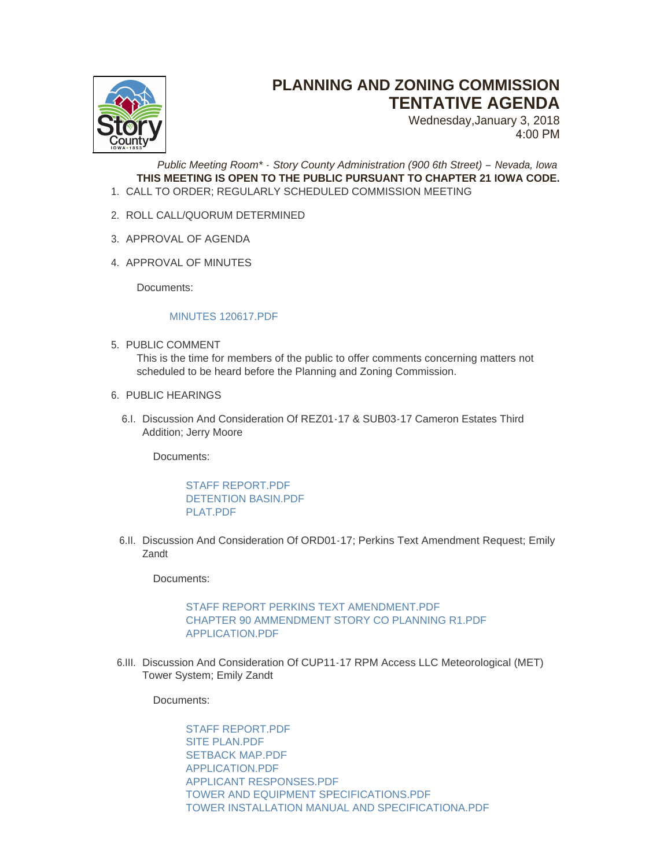

# **PLANNING AND ZONING COMMISSION TENTATIVE AGENDA**

Wednesday,January 3, 2018 4:00 PM

*Public Meeting Room\* - Story County Administration (900 6th Street) – Nevada, Iowa* **THIS MEETING IS OPEN TO THE PUBLIC PURSUANT TO CHAPTER 21 IOWA CODE.** CALL TO ORDER; REGULARLY SCHEDULED COMMISSION MEETING 1.

- 2. ROLL CALL/QUORUM DETERMINED
- 3. APPROVAL OF AGENDA
- 4. APPROVAL OF MINUTES

Documents:

#### MINUTES 120617 PDF

5. PUBLIC COMMENT

This is the time for members of the public to offer comments concerning matters not scheduled to be heard before the Planning and Zoning Commission.

- 6. PUBLIC HEARINGS
	- 6.I. Discussion And Consideration Of REZ01-17 & SUB03-17 Cameron Estates Third Addition; Jerry Moore

Documents:

STAFF REPORT PDF [DETENTION BASIN.PDF](http://www.storycountyiowa.gov/AgendaCenter/ViewFile/Item/10918?fileID=7756) [PLAT.PDF](http://www.storycountyiowa.gov/AgendaCenter/ViewFile/Item/10918?fileID=7757)

6.II. Discussion And Consideration Of ORD01-17; Perkins Text Amendment Request; Emily Zandt

Documents:

### [STAFF REPORT PERKINS TEXT AMENDMENT.PDF](http://www.storycountyiowa.gov/AgendaCenter/ViewFile/Item/10917?fileID=7753) [CHAPTER 90 AMMENDMENT STORY CO PLANNING R1.PDF](http://www.storycountyiowa.gov/AgendaCenter/ViewFile/Item/10917?fileID=7752) [APPLICATION.PDF](http://www.storycountyiowa.gov/AgendaCenter/ViewFile/Item/10917?fileID=7754)

6.III. Discussion And Consideration Of CUP11-17 RPM Access LLC Meteorological (MET) Tower System; Emily Zandt

Documents:

[STAFF REPORT.PDF](http://www.storycountyiowa.gov/AgendaCenter/ViewFile/Item/10915?fileID=7742) [SITE PLAN.PDF](http://www.storycountyiowa.gov/AgendaCenter/ViewFile/Item/10915?fileID=7750) [SETBACK MAP.PDF](http://www.storycountyiowa.gov/AgendaCenter/ViewFile/Item/10915?fileID=7749) [APPLICATION.PDF](http://www.storycountyiowa.gov/AgendaCenter/ViewFile/Item/10915?fileID=7746) [APPLICANT RESPONSES.PDF](http://www.storycountyiowa.gov/AgendaCenter/ViewFile/Item/10915?fileID=7745) [TOWER AND EQUIPMENT SPECIFICATIONS.PDF](http://www.storycountyiowa.gov/AgendaCenter/ViewFile/Item/10915?fileID=7743) [TOWER INSTALLATION MANUAL AND SPECIFICATIONA.PDF](http://www.storycountyiowa.gov/AgendaCenter/ViewFile/Item/10915?fileID=7748)